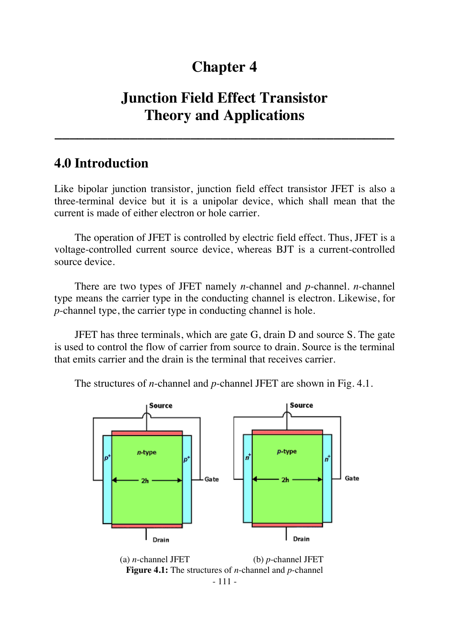# **Chapter 4**

# **Junction Field Effect Transistor Theory and Applications**

**\_\_\_\_\_\_\_\_\_\_\_\_\_\_\_\_\_\_\_\_\_\_\_\_\_\_\_\_\_\_\_\_\_\_\_\_\_\_\_\_\_\_\_\_\_** 

# **4.0 Introduction**

Like bipolar junction transistor, junction field effect transistor JFET is also a three-terminal device but it is a unipolar device, which shall mean that the current is made of either electron or hole carrier.

The operation of JFET is controlled by electric field effect. Thus, JFET is a voltage-controlled current source device, whereas BJT is a current-controlled source device.

There are two types of JFET namely *n*-channel and *p*-channel. *n*-channel type means the carrier type in the conducting channel is electron. Likewise, for *p*-channel type, the carrier type in conducting channel is hole.

JFET has three terminals, which are gate G, drain D and source S. The gate is used to control the flow of carrier from source to drain. Source is the terminal that emits carrier and the drain is the terminal that receives carrier.

The structures of *n*-channel and *p*-channel JFET are shown in Fig. 4.1.



 (a) *n*-channel JFET (b) *p*-channel JFET **Figure 4.1:** The structures of *n*-channel and *p*-channel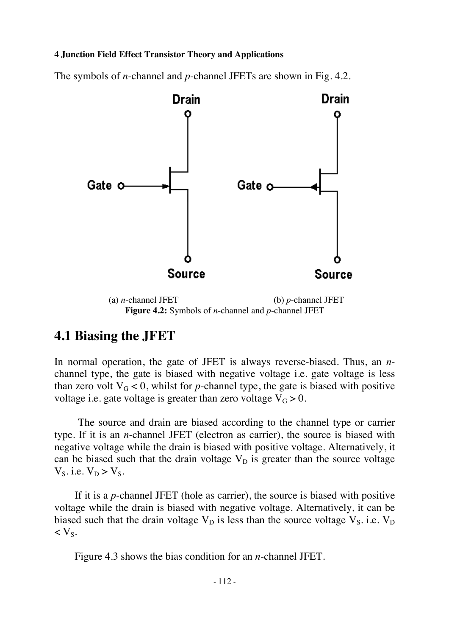The symbols of *n*-channel and *p*-channel JFETs are shown in Fig. 4.2.



 (a) *n*-channel JFET (b) *p*-channel JFET **Figure 4.2:** Symbols of *n*-channel and *p*-channel JFET

## **4.1 Biasing the JFET**

In normal operation, the gate of JFET is always reverse-biased. Thus, an *n*channel type, the gate is biased with negative voltage i.e. gate voltage is less than zero volt  $V_G < 0$ , whilst for *p*-channel type, the gate is biased with positive voltage i.e. gate voltage is greater than zero voltage  $V_G > 0$ .

The source and drain are biased according to the channel type or carrier type. If it is an *n*-channel JFET (electron as carrier), the source is biased with negative voltage while the drain is biased with positive voltage. Alternatively, it can be biased such that the drain voltage  $V_D$  is greater than the source voltage  $V_S$ . i.e.  $V_D > V_S$ .

If it is a *p*-channel JFET (hole as carrier), the source is biased with positive voltage while the drain is biased with negative voltage. Alternatively, it can be biased such that the drain voltage  $V_D$  is less than the source voltage  $V_S$ . i.e.  $V_D$  $<$  V<sub>S</sub>.

Figure 4.3 shows the bias condition for an *n*-channel JFET.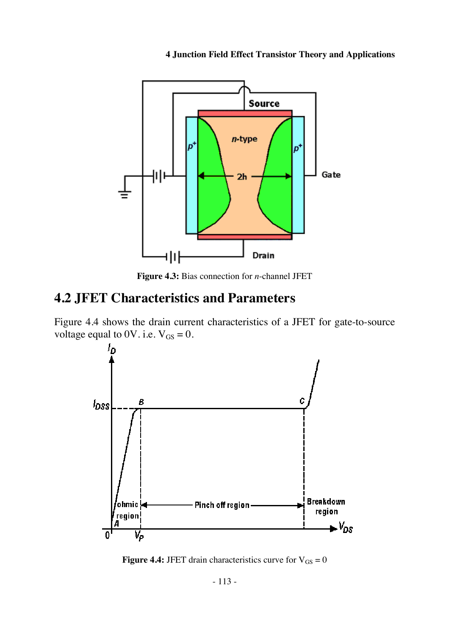

**Figure 4.3:** Bias connection for *n*-channel JFET

# **4.2 JFET Characteristics and Parameters**

Figure 4.4 shows the drain current characteristics of a JFET for gate-to-source voltage equal to 0V. i.e.  $V_{GS} = 0$ .



**Figure 4.4:** JFET drain characteristics curve for  $V_{GS} = 0$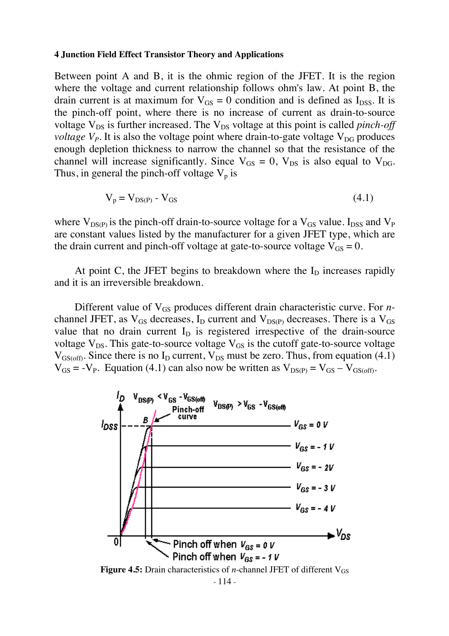Between point A and B, it is the ohmic region of the JFET. It is the region where the voltage and current relationship follows ohm's law. At point B, the drain current is at maximum for  $V_{GS} = 0$  condition and is defined as  $I_{DSS}$ . It is the pinch-off point, where there is no increase of current as drain-to-source voltage  $V_{DS}$  is further increased. The  $V_{DS}$  voltage at this point is called *pinch-off voltage*  $V_p$ . It is also the voltage point where drain-to-gate voltage  $V_{\text{DG}}$  produces enough depletion thickness to narrow the channel so that the resistance of the channel will increase significantly. Since  $V_{GS} = 0$ ,  $V_{DS}$  is also equal to  $V_{DG}$ . Thus, in general the pinch-off voltage  $V_p$  is

$$
V_p = V_{DS(P)} - V_{GS} \tag{4.1}
$$

where  $V_{DS(P)}$  is the pinch-off drain-to-source voltage for a  $V_{GS}$  value. I<sub>DSS</sub> and  $V_P$ are constant values listed by the manufacturer for a given JFET type, which are the drain current and pinch-off voltage at gate-to-source voltage  $V_{GS} = 0$ .

At point C, the JFET begins to breakdown where the  $I<sub>D</sub>$  increases rapidly and it is an irreversible breakdown.

Different value of V<sub>GS</sub> produces different drain characteristic curve. For *n*channel JFET, as  $V_{GS}$  decreases,  $I_D$  current and  $V_{DS(P)}$  decreases. There is a  $V_{GS}$ value that no drain current  $I_D$  is registered irrespective of the drain-source voltage  $V_{DS}$ . This gate-to-source voltage  $V_{GS}$  is the cutoff gate-to-source voltage  $V_{GS(off)}$ . Since there is no  $I_D$  current,  $V_{DS}$  must be zero. Thus, from equation (4.1)  $V_{GS} = -V_P$ . Equation (4.1) can also now be written as  $V_{DS(P)} = V_{GS} - V_{GS(off)}$ .



- 114 -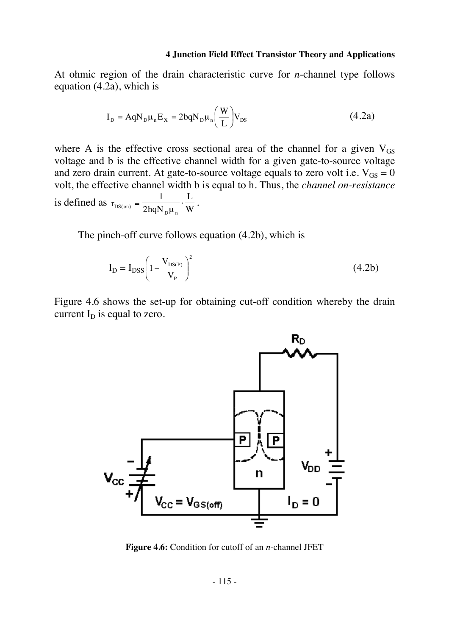At ohmic region of the drain characteristic curve for *n*-channel type follows equation (4.2a), which is

$$
I_{D} = AqN_{D}\mu_{n}E_{X} = 2bqN_{D}\mu_{n}\left(\frac{W}{L}\right)V_{DS}
$$
\n(4.2a)

where A is the effective cross sectional area of the channel for a given  $V_{GS}$ voltage and b is the effective channel width for a given gate-to-source voltage and zero drain current. At gate-to-source voltage equals to zero volt i.e.  $V_{GS} = 0$ volt, the effective channel width b is equal to h. Thus, the *channel on-resistance* is defined as  $r_{DS(on)} = \frac{1}{2hqN_p\mu_n} \cdot \frac{L}{W}$  $DS($  on  $)$  $=\frac{1}{2hqN_{\rm p}\mu_{\rm n}}\cdot\frac{L}{W}.$ 

The pinch-off curve follows equation (4.2b), which is

$$
I_D = I_{DSS} \left( 1 - \frac{V_{DS(P)}}{V_P} \right)^2 \tag{4.2b}
$$

Figure 4.6 shows the set-up for obtaining cut-off condition whereby the drain current  $I_D$  is equal to zero.



**Figure 4.6:** Condition for cutoff of an *n*-channel JFET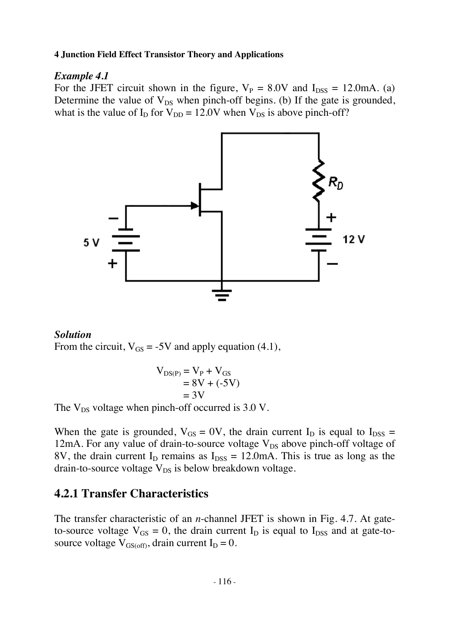#### *Example 4.1*

For the JFET circuit shown in the figure,  $V_P = 8.0V$  and  $I_{DSS} = 12.0 \text{mA}$ . (a) Determine the value of  $V_{DS}$  when pinch-off begins. (b) If the gate is grounded, what is the value of  $I_D$  for  $V_{DD} = 12.0V$  when  $V_{DS}$  is above pinch-off?



#### *Solution*

From the circuit,  $V_{GS} = -5V$  and apply equation (4.1),

$$
V_{DS(P)} = V_P + V_{GS}
$$
  
= 8V + (-5V)  
= 3V

The  $V_{DS}$  voltage when pinch-off occurred is 3.0 V.

When the gate is grounded,  $V_{GS} = 0V$ , the drain current  $I_D$  is equal to  $I_{DSS} =$ 12mA. For any value of drain-to-source voltage  $V_{DS}$  above pinch-off voltage of 8V, the drain current  $I_D$  remains as  $I_{DSS} = 12.0 \text{mA}$ . This is true as long as the drain-to-source voltage  $V_{DS}$  is below breakdown voltage.

## **4.2.1 Transfer Characteristics**

The transfer characteristic of an *n*-channel JFET is shown in Fig. 4.7. At gateto-source voltage  $V_{GS} = 0$ , the drain current  $I_D$  is equal to  $I_{DSS}$  and at gate-tosource voltage  $V_{GS(off)}$ , drain current  $I_D = 0$ .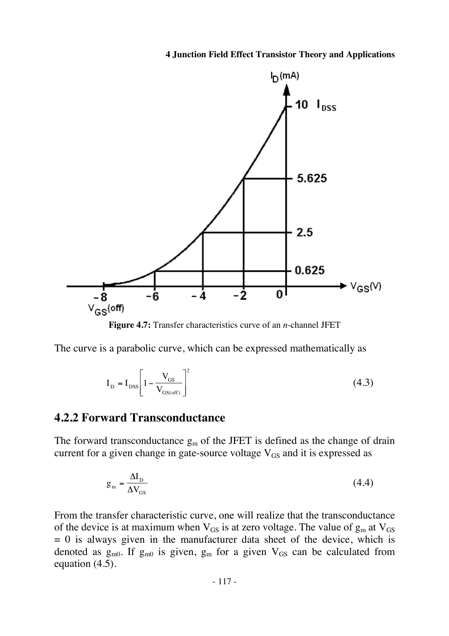

**Figure 4.7:** Transfer characteristics curve of an *n*-channel JFET

The curve is a parabolic curve, which can be expressed mathematically as

$$
I_{\rm D} = I_{\rm DSS} \left[ 1 - \frac{V_{\rm GS}}{V_{\rm GS(off)}} \right]^2 \tag{4.3}
$$

### **4.2.2 Forward Transconductance**

The forward transconductance  $g_m$  of the JFET is defined as the change of drain current for a given change in gate-source voltage  $V_{GS}$  and it is expressed as

$$
g_{\rm m} = \frac{\Delta I_{\rm D}}{\Delta V_{\rm GS}}\tag{4.4}
$$

From the transfer characteristic curve, one will realize that the transconductance of the device is at maximum when  $V_{GS}$  is at zero voltage. The value of  $g_m$  at  $V_{GS}$  $= 0$  is always given in the manufacturer data sheet of the device, which is denoted as  $g_{m0}$ . If  $g_{m0}$  is given,  $g_m$  for a given  $V_{GS}$  can be calculated from equation (4.5).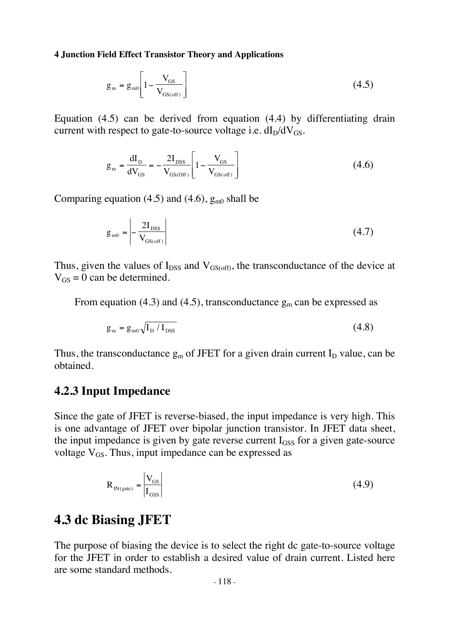$$
g_{\rm m} = g_{\rm m0} \left[ 1 - \frac{V_{\rm GS}}{V_{\rm GS(off)}} \right]
$$
 (4.5)

Equation (4.5) can be derived from equation (4.4) by differentiating drain current with respect to gate-to-source voltage i.e.  $dI_D/dV_{GS}$ .

$$
g_{\rm m} = \frac{dI_{\rm D}}{dV_{\rm GS}} = -\frac{2I_{\rm DSS}}{V_{\rm GS(Off)}} \left[ 1 - \frac{V_{\rm GS}}{V_{\rm GS(Off)}} \right]
$$
(4.6)

Comparing equation (4.5) and (4.6),  $g_{m0}$  shall be

$$
g_{\rm m0} = \left| -\frac{2I_{\rm DSS}}{V_{\rm GS(off)}} \right| \tag{4.7}
$$

Thus, given the values of  $I_{DSS}$  and  $V_{GS(off)}$ , the transconductance of the device at  $V_{GS} = 0$  can be determined.

From equation (4.3) and (4.5), transconductance  $g_m$  can be expressed as

$$
g_{\rm m} = g_{\rm m0} \sqrt{I_{\rm D} / I_{\rm DSS}}
$$
 (4.8)

Thus, the transconductance  $g_m$  of JFET for a given drain current  $I_D$  value, can be obtained.

## **4.2.3 Input Impedance**

Since the gate of JFET is reverse-biased, the input impedance is very high. This is one advantage of JFET over bipolar junction transistor. In JFET data sheet, the input impedance is given by gate reverse current  $I<sub>GSS</sub>$  for a given gate-source voltage  $V_{GS}$ . Thus, input impedance can be expressed as

$$
R_{IN(gate)} = \left| \frac{V_{GS}}{I_{GSS}} \right| \tag{4.9}
$$

## **4.3 dc Biasing JFET**

The purpose of biasing the device is to select the right dc gate-to-source voltage for the JFET in order to establish a desired value of drain current. Listed here are some standard methods.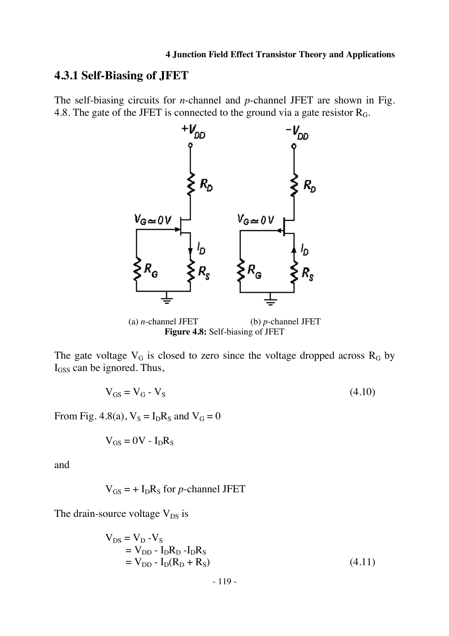## **4.3.1 Self-Biasing of JFET**

The self-biasing circuits for *n*-channel and *p*-channel JFET are shown in Fig. 4.8. The gate of the JFET is connected to the ground via a gate resistor  $R<sub>G</sub>$ .



(a) *n*-channel JFET (b) *p*-channel JFET **Figure 4.8:** Self-biasing of JFET

The gate voltage  $V_G$  is closed to zero since the voltage dropped across  $R_G$  by I<sub>GSS</sub> can be ignored. Thus,

$$
V_{GS} = V_G - V_S \tag{4.10}
$$

From Fig. 4.8(a),  $V_S = I_D R_S$  and  $V_G = 0$ 

$$
V_{GS} = 0V - I_D R_S
$$

and

$$
V_{GS}
$$
 = + I<sub>D</sub>R<sub>S</sub> for *p*-channel JFET

The drain-source voltage  $V_{DS}$  is

$$
V_{DS} = V_D - V_S
$$
  
= V\_{DD} - I\_D R\_D - I\_D R\_S  
= V\_{DD} - I\_D (R\_D + R\_S) (4.11)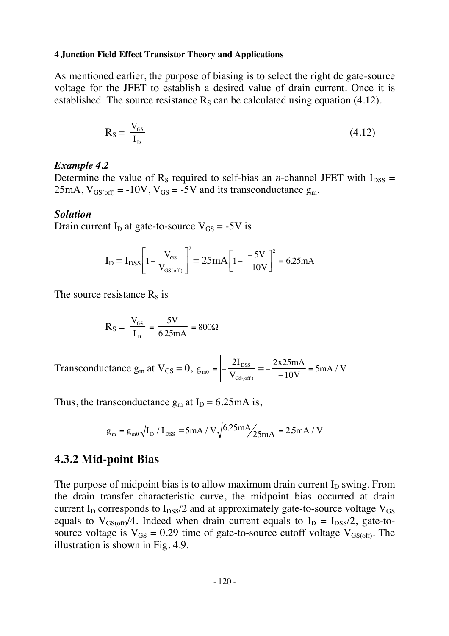As mentioned earlier, the purpose of biasing is to select the right dc gate-source voltage for the JFET to establish a desired value of drain current. Once it is established. The source resistance  $R<sub>S</sub>$  can be calculated using equation (4.12).

$$
R_S = \left| \frac{V_{GS}}{I_D} \right| \tag{4.12}
$$

#### *Example 4.2*

Determine the value of  $R_s$  required to self-bias an *n*-channel JFET with  $I_{DSS}$  = 25mA,  $V_{GS(off)} = -10V$ ,  $V_{GS} = -5V$  and its transconductance  $g_m$ .

#### *Solution*

Drain current  $I_D$  at gate-to-source  $V_{GS} = -5V$  is

$$
I_{D} = I_{DSS} \left[ 1 - \frac{V_{GS}}{V_{GS(off)}} \right]^2 = 25mA \left[ 1 - \frac{-5V}{-10V} \right]^2 = 6.25mA
$$

The source resistance  $R<sub>S</sub>$  is

$$
R_S = \left| \frac{V_{GS}}{I_D} \right| = \left| \frac{5V}{6.25mA} \right| = 800\Omega
$$

Transconductance  $g_m$  at  $V_{GS} = 0$ ,  $g_{m0} = -\frac{2I}{V}$  $\overline{m}$ <sup>0</sup>  $\overline{V}$ DSS GS off  $_0 = -\frac{2}{V}$  $\left| \frac{\text{loss}}{\text{off}} \right| = -\frac{2 \times 25 \text{mA}}{-10 \text{V}} =$ 5  $x25mA$ V  $mA/V$ 

Thus, the transconductance  $g_m$  at  $I_D = 6.25 \text{ mA}$  is,

$$
g_m = g_{m0} \sqrt{I_D / I_{DSS}} = 5mA / V \sqrt{6.25mA / 25mA} = 2.5mA / V
$$

### **4.3.2 Mid-point Bias**

The purpose of midpoint bias is to allow maximum drain current  $I_D$  swing. From the drain transfer characteristic curve, the midpoint bias occurred at drain current I<sub>D</sub> corresponds to I<sub>DSS</sub>/2 and at approximately gate-to-source voltage  $V_{GS}$ equals to  $V_{GS(off)}/4$ . Indeed when drain current equals to  $I_D = I_{DSS}/2$ , gate-tosource voltage is  $V_{GS} = 0.29$  time of gate-to-source cutoff voltage  $V_{GS(off)}$ . The illustration is shown in Fig. 4.9.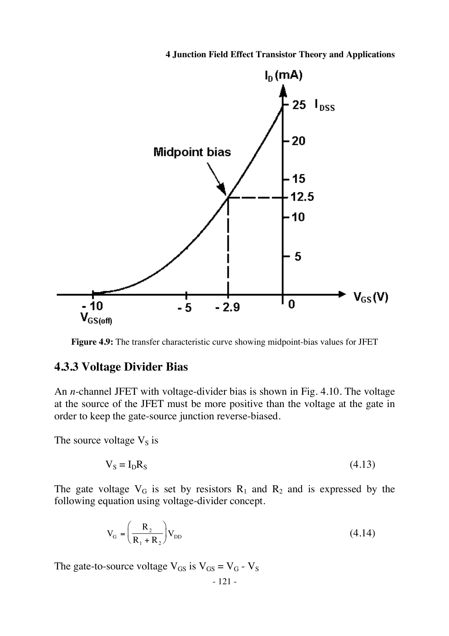

**Figure 4.9:** The transfer characteristic curve showing midpoint-bias values for JFET

### **4.3.3 Voltage Divider Bias**

An *n*-channel JFET with voltage-divider bias is shown in Fig. 4.10. The voltage at the source of the JFET must be more positive than the voltage at the gate in order to keep the gate-source junction reverse-biased.

The source voltage  $V_s$  is

$$
V_S = I_D R_S \tag{4.13}
$$

The gate voltage  $V_G$  is set by resistors  $R_1$  and  $R_2$  and is expressed by the following equation using voltage-divider concept.

$$
V_{G} = \left(\frac{R_2}{R_1 + R_2}\right) V_{DD} \tag{4.14}
$$

The gate-to-source voltage  $V_{GS}$  is  $V_{GS} = V_G - V_S$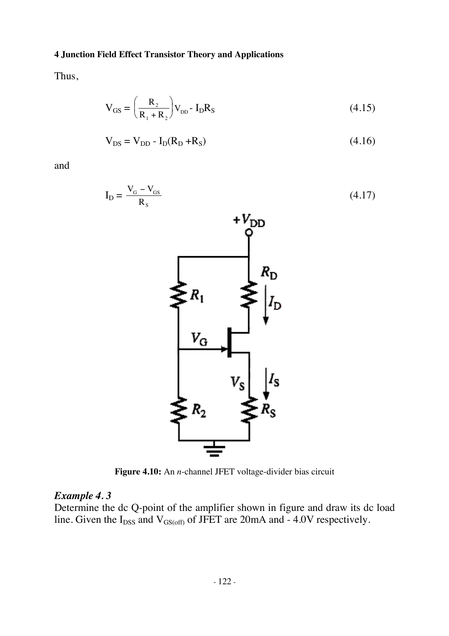Thus,

$$
V_{GS} = \left(\frac{R_2}{R_1 + R_2}\right) V_{DD} - I_D R_S
$$
 (4.15)

$$
V_{DS} = V_{DD} - I_D(R_D + R_S)
$$
 (4.16)

and



**Figure 4.10:** An *n*-channel JFET voltage-divider bias circuit

### *Example 4. 3*

Determine the dc Q-point of the amplifier shown in figure and draw its dc load line. Given the  $I_{DSS}$  and  $V_{GS(off)}$  of JFET are 20mA and - 4.0V respectively.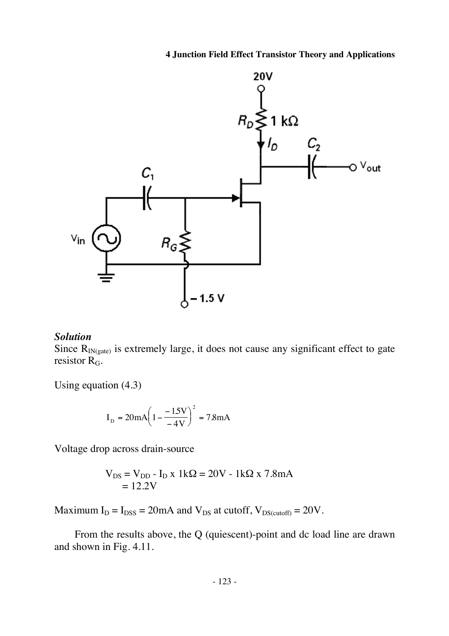

### *Solution*

Since  $R_{IN(gate)}$  is extremely large, it does not cause any significant effect to gate resistor  $R_G$ .

Using equation (4.3)

$$
I_{\rm D} = 20 \text{mA} \left( 1 - \frac{-15 \text{V}}{-4 \text{V}} \right)^2 = 7.8 \text{mA}
$$

Voltage drop across drain-source

$$
V_{DS} = V_{DD} - I_D \times 1k\Omega = 20V - 1k\Omega \times 7.8mA
$$

$$
= 12.2V
$$

Maximum  $I_D = I_{DSS} = 20$ mA and  $V_{DS}$  at cutoff,  $V_{DS(cutoff)} = 20V$ .

From the results above, the Q (quiescent)-point and dc load line are drawn and shown in Fig. 4.11.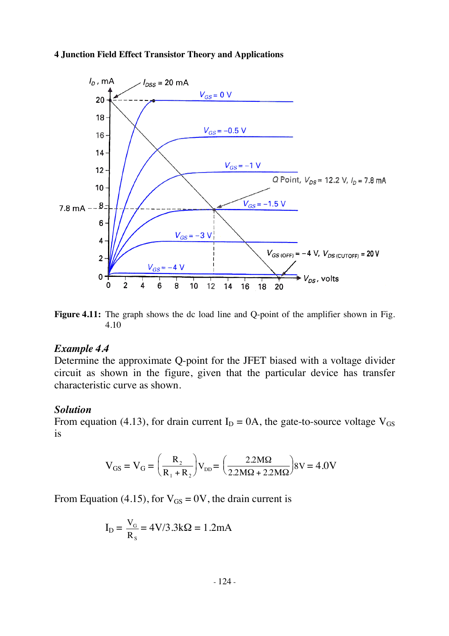

**Figure 4.11:** The graph shows the dc load line and Q-point of the amplifier shown in Fig. 4.10

#### *Example 4.4*

Determine the approximate Q-point for the JFET biased with a voltage divider circuit as shown in the figure, given that the particular device has transfer characteristic curve as shown.

#### *Solution*

From equation (4.13), for drain current  $I_D = 0A$ , the gate-to-source voltage  $V_{GS}$ is

$$
V_{GS} = V_G = \left(\frac{R_2}{R_1 + R_2}\right) V_{DD} = \left(\frac{2.2 M\Omega}{2.2 M\Omega + 2.2 M\Omega}\right) 8V = 4.0 V
$$

From Equation (4.15), for  $V_{GS} = 0V$ , the drain current is

$$
I_D = \frac{V_G}{R_s} = 4V/3.3k\Omega = 1.2mA
$$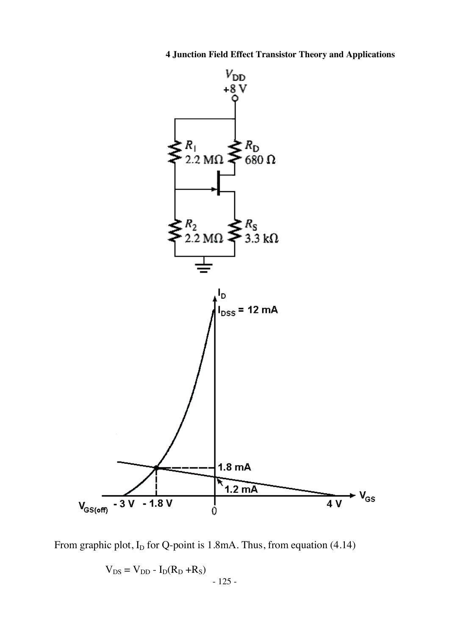

From graphic plot,  $I_D$  for Q-point is 1.8mA. Thus, from equation (4.14)

$$
V_{DS} = V_{DD} - I_D(R_D + R_S) - 125 -
$$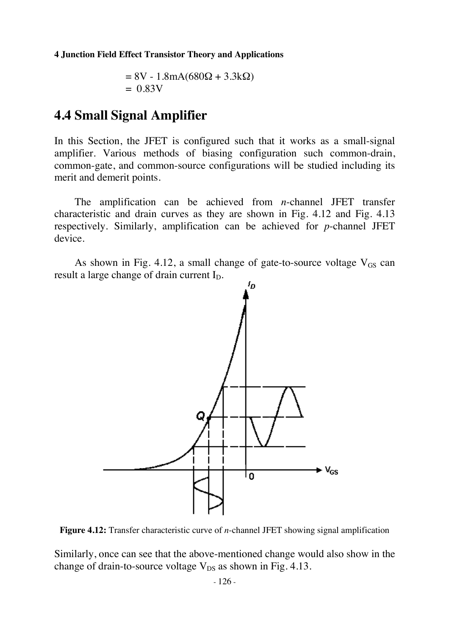$$
= 8V - 1.8mA(680\Omega + 3.3k\Omega)
$$
  
= 0.83V

## **4.4 Small Signal Amplifier**

In this Section, the JFET is configured such that it works as a small-signal amplifier. Various methods of biasing configuration such common-drain, common-gate, and common-source configurations will be studied including its merit and demerit points.

The amplification can be achieved from *n*-channel JFET transfer characteristic and drain curves as they are shown in Fig. 4.12 and Fig. 4.13 respectively. Similarly, amplification can be achieved for *p*-channel JFET device.

As shown in Fig. 4.12, a small change of gate-to-source voltage  $V_{GS}$  can result a large change of drain current  $I_D$ .



**Figure 4.12:** Transfer characteristic curve of *n*-channel JFET showing signal amplification

Similarly, once can see that the above-mentioned change would also show in the change of drain-to-source voltage  $V_{DS}$  as shown in Fig. 4.13.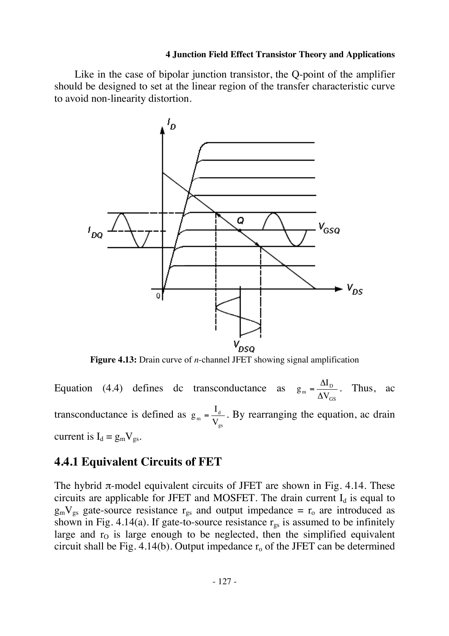Like in the case of bipolar junction transistor, the Q-point of the amplifier should be designed to set at the linear region of the transfer characteristic curve to avoid non-linearity distortion.



**Figure 4.13:** Drain curve of *n*-channel JFET showing signal amplification

Equation (4.4) defines dc transconductance as GS  $_m = \frac{\Delta V_D}{\Delta V_G}$  $g_m = \frac{\Delta I_D}{\Delta V_{GS}}$ . Thus, ac transconductance is defined as gs  $_m = \frac{1_d}{V_g}$  $g_m = \frac{I_d}{V}$ . By rearranging the equation, ac drain current is  $I_d = g_m V_{gs}$ .

## **4.4.1 Equivalent Circuits of FET**

The hybrid  $\pi$ -model equivalent circuits of JFET are shown in Fig. 4.14. These circuits are applicable for JFET and MOSFET. The drain current  $I_d$  is equal to  $g_mV_{gs}$  gate-source resistance  $r_{gs}$  and output impedance =  $r_o$  are introduced as shown in Fig. 4.14(a). If gate-to-source resistance  $r_{gs}$  is assumed to be infinitely large and  $r<sub>0</sub>$  is large enough to be neglected, then the simplified equivalent circuit shall be Fig.  $4.14(b)$ . Output impedance  $r_0$  of the JFET can be determined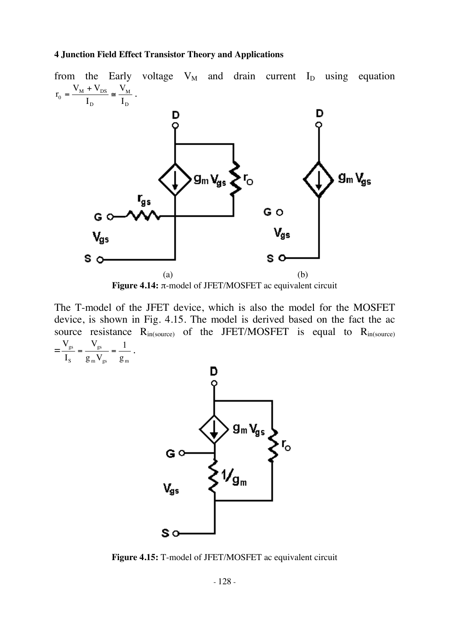

The T-model of the JFET device, which is also the model for the MOSFET device, is shown in Fig. 4.15. The model is derived based on the fact the ac source resistance  $R_{in(source)}$  of the JFET/MOSFET is equal to  $R_{in(source)}$ =  $m \text{ s}$   $\text{ s}$   $\text{ s}$   $\text{ s}$ gs S gs g 1  $g_{_{\rm m}}\rm{V}$ V I  $\frac{V_{gs}}{I} = \frac{V_{gs}}{V} = \frac{1}{I}$ .



**Figure 4.15:** T-model of JFET/MOSFET ac equivalent circuit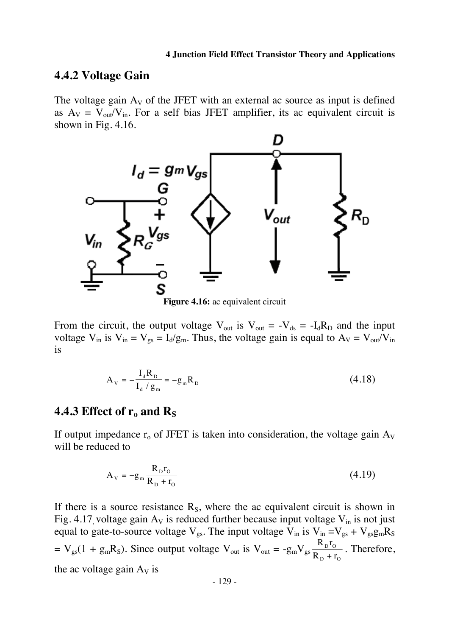### **4.4.2 Voltage Gain**

The voltage gain  $A_V$  of the JFET with an external ac source as input is defined as  $A_V = V_{out}/V_{in}$ . For a self bias JFET amplifier, its ac equivalent circuit is shown in Fig. 4.16.



**Figure 4.16:** ac equivalent circuit

From the circuit, the output voltage  $V_{out}$  is  $V_{out} = -V_{ds} = -I_dR_p$  and the input voltage  $V_{in}$  is  $V_{in} = V_{gs} = I_d/g_m$ . Thus, the voltage gain is equal to  $A_V = V_{out}/V_{in}$ is

$$
A_{V} = -\frac{I_{d}R_{D}}{I_{d}/g_{m}} = -g_{m}R_{D}
$$
\n(4.18)

## 4.4.3 Effect of r<sub>o</sub> and R<sub>S</sub>

If output impedance  $r_0$  of JFET is taken into consideration, the voltage gain  $A_V$ will be reduced to

$$
A_V = -g_m \frac{R_D r_O}{R_D + r_O} \tag{4.19}
$$

If there is a source resistance  $R_s$ , where the ac equivalent circuit is shown in Fig. 4.17, voltage gain  $A_V$  is reduced further because input voltage  $V_{in}$  is not just equal to gate-to-source voltage  $V_{gs}$ . The input voltage  $V_{in}$  is  $V_{in} = V_{gs} + V_{gs}g_{m}R_{S}$  $= V_{gs}(1 + g_m R_S)$ . Since output voltage V<sub>out</sub> is V<sub>out</sub> =  $-g_m V_{gs} \frac{R_D r}{R_E}$  $R_{\rm p}$  + r  $D^{1}$ O  $_{\rm D}$  +  $\rm r_{\rm O}$ . Therefore, the ac voltage gain  $A_V$  is

- 129 -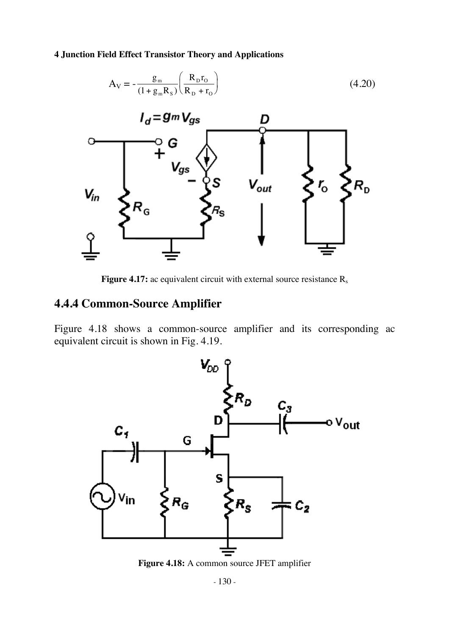

**Figure 4.17:** ac equivalent circuit with external source resistance R<sub>s</sub>

## **4.4.4 Common-Source Amplifier**

Figure 4.18 shows a common-source amplifier and its corresponding ac equivalent circuit is shown in Fig. 4.19.



**Figure 4.18:** A common source JFET amplifier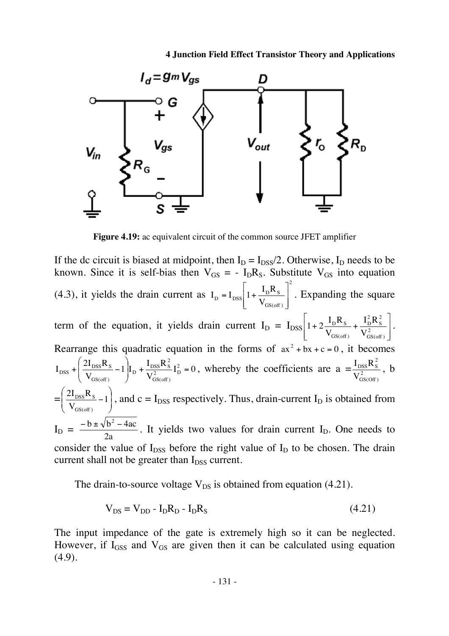

**Figure 4.19:** ac equivalent circuit of the common source JFET amplifier

If the dc circuit is biased at midpoint, then  $I_D = I_{DSS}/2$ . Otherwise,  $I_D$  needs to be known. Since it is self-bias then  $V_{GS} = -I_D R_S$ . Substitute  $V_{GS}$  into equation (4.3), it yields the drain current as 2 GS(off )  $I_{\text{D}} = I_{\text{DSS}} \left| 1 + \frac{I_{\text{D}} I_{\text{S}}}{V_{\text{GS-off}}} \right|$  $I_D = I_{DSS} \left| 1 + \frac{I_D R}{V} \right|$  $\overline{\phantom{a}}$  $\overline{\phantom{a}}$  $\rfloor$  $\overline{\phantom{a}}$  $\mathsf{L}$  $\mathbf{r}$ L  $= I_{\text{DSS}} \left| 1 + \frac{I_{\text{D}} R_{\text{S}}}{V} \right|$ . Expanding the square term of the equation, it yields drain current  $I_D = I_{DSS} \left| 1 + 2 \frac{I_D I_{S}}{V_{GS(off)}} + \frac{I_D I_{S}}{V_{GS(off)}} \right|$ 」  $\overline{\phantom{a}}$  $\mathsf{L}$  $\mathbf{r}$ L  $\overline{ }$  $+2\frac{-D-5}{V}+\frac{-D}{V^2}$ GS(off ) 2 S 2 D GS(off )  $D^{11}S$ V  $I_{\text{D}}^2 R$ V  $1 + 2 \frac{I_D R_S}{V} + \frac{I_D^2 R_S^2}{V^2}$ . Rearrange this quadratic equation in the forms of  $ax^2 + bx + c = 0$ , it becomes  $I_{\rm D}^2 = 0$ V  $\left.\frac{1}{1}\right|_{\text{L}} + \frac{\text{I}_{\text{DSS}}R}{\text{I}_{\text{L}}^2}$ V  $I_{\rm DSS} + \left( \frac{2I_{\rm DSS}R_{\rm S}}{V} - 1 \right) I_{\rm D} + \frac{I_{\rm DSS}R_{\rm S}^2}{V^2} I_{\rm D}^2$ GS(off ) 2  $D$  +  $\frac{1_{DSS}R_S}{V^2}$ GS(off )  $\log s + \frac{2I_{DSS}\mathbf{R}_{S}}{V_{GSE}} - 1 \left| I_{D} + \frac{I_{DSS}\mathbf{R}_{S}}{V_{GSE}} I_{D}^{2} \right|$ J  $\backslash$  $\overline{\phantom{a}}$  $\mathsf{I}$  $\setminus$ ſ  $+ \left( \frac{2r_{DSS}N_S}{V} - 1 \right) I_D + \frac{r_{DSS}N_S}{V^2} I_D^2 = 0$ , whereby the coefficients are  $a = \frac{r_{DSS}N_S}{V^2}$ GS(Off ) 2  $DSS$ <sup>1</sup> S V  $\frac{I_{\text{DSS}}R_S^2}{I_{\text{R}}^2}$ , b  $=\left(\frac{2I_{DSS}R_S}{V_{SSE}}-1\right)$ J  $\setminus$  $\overline{\phantom{a}}$  $\mathsf{I}$  $\setminus$  $\frac{2I_{DSS}R_s}{I} - 1$ V  $2I_{DSS}R$ GS(off )  $\frac{DSS^{N}S}{D} - 1$ , and  $c = I_{DSS}$  respectively. Thus, drain-current I<sub>D</sub> is obtained from  $I_D =$ 2a  $\frac{-b \pm \sqrt{b^2 - 4ac}}{2}$ . It yields two values for drain current I<sub>D</sub>. One needs to consider the value of  $I_{DSS}$  before the right value of  $I_D$  to be chosen. The drain current shall not be greater than  $I_{DSS}$  current.

The drain-to-source voltage  $V_{DS}$  is obtained from equation (4.21).

$$
V_{DS} = V_{DD} - I_D R_D - I_D R_S \tag{4.21}
$$

The input impedance of the gate is extremely high so it can be neglected. However, if  $I<sub>GSS</sub>$  and  $V<sub>GS</sub>$  are given then it can be calculated using equation (4.9).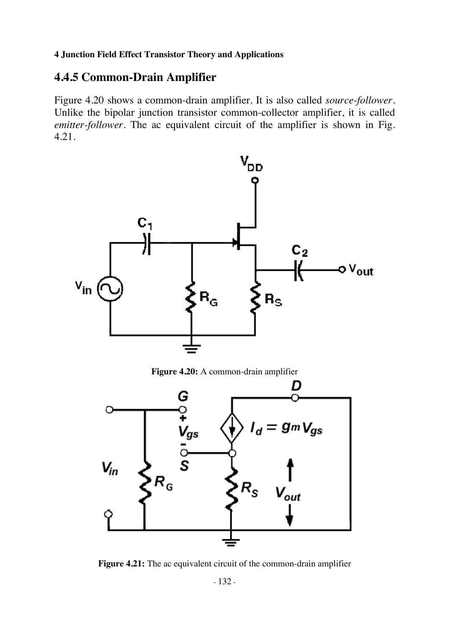## **4.4.5 Common-Drain Amplifier**

Figure 4.20 shows a common-drain amplifier. It is also called *source-follower*. Unlike the bipolar junction transistor common-collector amplifier, it is called *emitter-follower*. The ac equivalent circuit of the amplifier is shown in Fig. 4.21.



**Figure 4.20:** A common-drain amplifier



**Figure 4.21:** The ac equivalent circuit of the common-drain amplifier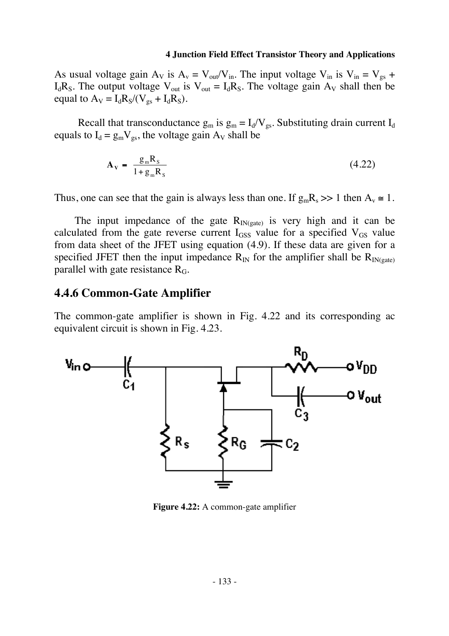As usual voltage gain  $A_V$  is  $A_v = V_{out}/V_{in}$ . The input voltage  $V_{in}$  is  $V_{in} = V_{gs}$  +  $I_dR_S$ . The output voltage  $V_{out}$  is  $V_{out} = I_dR_S$ . The voltage gain  $A_V$  shall then be equal to  $A_V = I_d R_S / (V_{gs} + I_d R_S)$ .

Recall that transconductance  $g_m$  is  $g_m = I_d/V_{gs}$ . Substituting drain current  $I_d$ equals to  $I_d = g_m V_{gs}$ , the voltage gain  $A_V$  shall be

$$
\mathbf{A}_{\mathbf{v}} = \frac{\mathbf{g}_{\mathbf{m}} \mathbf{R}_{\mathbf{s}}}{1 + \mathbf{g}_{\mathbf{m}} \mathbf{R}_{\mathbf{s}}} \tag{4.22}
$$

Thus, one can see that the gain is always less than one. If  $g_mR_s \gg 1$  then  $A_v \approx 1$ .

The input impedance of the gate  $R_{IN(cate)}$  is very high and it can be calculated from the gate reverse current  $I_{GSS}$  value for a specified  $V_{GS}$  value from data sheet of the JFET using equation (4.9). If these data are given for a specified JFET then the input impedance  $R_{IN}$  for the amplifier shall be  $R_{IN(gate)}$ parallel with gate resistance  $R_G$ .

### **4.4.6 Common-Gate Amplifier**

The common-gate amplifier is shown in Fig. 4.22 and its corresponding ac equivalent circuit is shown in Fig. 4.23.



**Figure 4.22:** A common-gate amplifier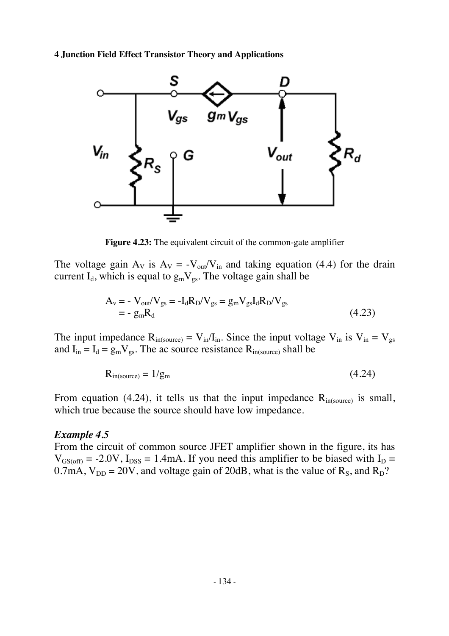

**Figure 4.23:** The equivalent circuit of the common-gate amplifier

The voltage gain  $A_V$  is  $A_V = -V_{out}/V_{in}$  and taking equation (4.4) for the drain current  $I_d$ , which is equal to  $g_mV_{gs}$ . The voltage gain shall be

$$
A_{v} = -V_{out}/V_{gs} = -I_{d}R_{D}/V_{gs} = g_{m}V_{gs}I_{d}R_{D}/V_{gs}
$$
  
= - g\_{m}R\_{d} (4.23)

The input impedance  $R_{in(source)} = V_{in}/I_{in}$ . Since the input voltage  $V_{in}$  is  $V_{in} = V_{gs}$ and  $I_{in} = I_d = g_m V_{gs}$ . The ac source resistance  $R_{in(source)}$  shall be

$$
R_{in(source)} = 1/g_m \tag{4.24}
$$

From equation (4.24), it tells us that the input impedance  $R_{in(source)}$  is small, which true because the source should have low impedance.

### *Example 4.5*

From the circuit of common source JFET amplifier shown in the figure, its has  $V_{GS(off)} = -2.0V$ ,  $I_{DSS} = 1.4mA$ . If you need this amplifier to be biased with  $I_D =$ 0.7mA,  $V_{DD} = 20V$ , and voltage gain of 20dB, what is the value of  $R_s$ , and  $R_D$ ?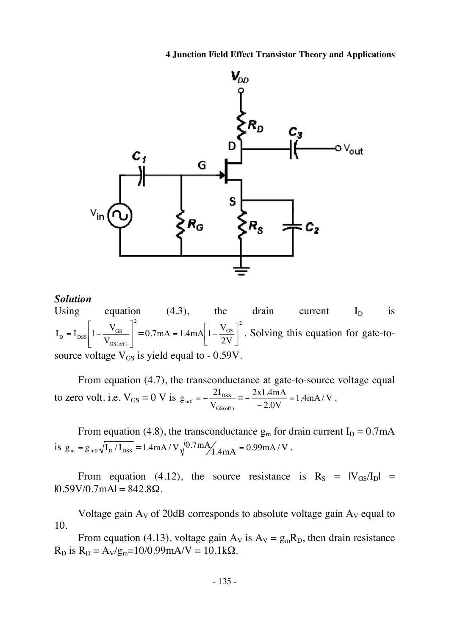

#### *Solution*

Using equation (4.3), the drain current  $I_D$  is 2 GS(off )  $_{\text{D}}$  = I<sub>DSS</sub>  $1 - \frac{v_{\text{GS}}}{V_{\text{GS}}}$  $I_{\rm D} = I_{\rm DSS} \left| 1 - \frac{V_{\rm g}}{V_{\rm g}} \right|$  $\overline{\phantom{a}}$  $\overline{\phantom{a}}$  $\rfloor$  $\overline{\phantom{a}}$  $\mathsf{L}$ L L  $= I_{DSS} \left[ 1 - \frac{V_{GS}}{V} \right]^2 = 0.7 \text{mA} = 1.4 \text{mA} \left[ 1 - \frac{V_{GS}}{2V} \right]^2$ GS 0.7mA = 1.4mA $\left[1 - \frac{V_{GS}}{2V}\right]$ = 1.4mA $\left|1-\frac{V_{GS}}{2V}\right|^{2}$ . Solving this equation for gate-tosource voltage  $V_{GS}$  is yield equal to - 0.59V.

From equation (4.7), the transconductance at gate-to-source voltage equal to zero volt. i.e.  $V_{GS} = 0 V$  is GS(off )  $v_{\rm m0} = -\frac{\Sigma I_{\rm DSS}}{V_{\rm GSGoff}}$  $g_{\text{m0}} = -\frac{2I_{\text{DSS}}}{V} = -\frac{2x1.4 \text{mA}}{2.0 \text{N}} = 1.4 \text{mA} / \text{V}$  $-\frac{2x1.4mA}{-2.0V} = 1.4mA/V$ .

From equation (4.8), the transconductance  $g_m$  for drain current  $I_D = 0.7 \text{mA}$ is  $g_m = g_{m0} \sqrt{I_D / I_{DSS}} = 1.4 mA / V \sqrt{0.7 mA / 1.4 mA} = 0.99 mA / V$ .

From equation (4.12), the source resistance is  $R_S = |V_{GS}/I_D|$  =  $|0.59V/0.7mA| = 842.8\Omega$ .

Voltage gain  $A_V$  of 20dB corresponds to absolute voltage gain  $A_V$  equal to 10.

From equation (4.13), voltage gain  $A_V$  is  $A_V = g_m R_D$ , then drain resistance  $R_D$  is  $R_D = A_V/g_m = 10/0.99$  mA/V = 10.1kΩ.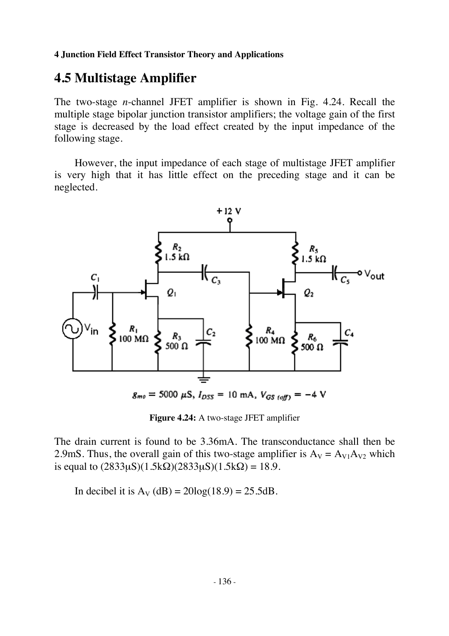# **4.5 Multistage Amplifier**

The two-stage *n*-channel JFET amplifier is shown in Fig. 4.24. Recall the multiple stage bipolar junction transistor amplifiers; the voltage gain of the first stage is decreased by the load effect created by the input impedance of the following stage.

However, the input impedance of each stage of multistage JFET amplifier is very high that it has little effect on the preceding stage and it can be neglected.



**Figure 4.24:** A two-stage JFET amplifier

The drain current is found to be 3.36mA. The transconductance shall then be 2.9mS. Thus, the overall gain of this two-stage amplifier is  $A_V = A_{V1}A_{V2}$  which is equal to  $(2833\mu S)(1.5k\Omega)(2833\mu S)(1.5k\Omega) = 18.9$ .

In decibel it is  $A_V$  (dB) = 20log(18.9) = 25.5dB.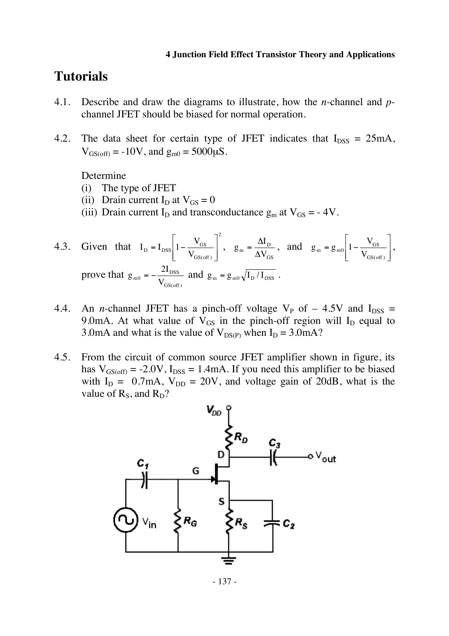## **Tutorials**

- 4.1. Describe and draw the diagrams to illustrate, how the *n*-channel and *p*channel JFET should be biased for normal operation.
- 4.2. The data sheet for certain type of JFET indicates that  $I_{DSS} = 25 \text{mA}$ ,  $V_{GS(off)} = -10V$ , and  $g_{m0} = 5000 \mu S$ .

Determine

- (i) The type of JFET
- (ii) Drain current  $I_D$  at  $V_{GS} = 0$
- (iii) Drain current I<sub>D</sub> and transconductance  $g_m$  at  $V_{GS} = -4V$ .

4.3. Given that 
$$
I_D = I_{DSS} \left[ 1 - \frac{V_{GS}}{V_{GS(off)}} \right]^2
$$
,  $g_m = \frac{\Delta I_D}{\Delta V_{GS}}$ , and  $g_m = g_{m0} \left[ 1 - \frac{V_{GS}}{V_{GS(off)}} \right]$ ,  
prove that  $g_{m0} = -\frac{2I_{DSS}}{V_{GS(off)}}$  and  $g_m = g_{m0} \sqrt{I_D/I_{DSS}}$ .

- 4.4. An *n*-channel JFET has a pinch-off voltage  $V_P$  of  $-$  4.5V and  $I_{DSS}$  = 9.0mA. At what value of  $V_{GS}$  in the pinch-off region will  $I_D$  equal to 3.0mA and what is the value of  $V_{DS(P)}$  when  $I_D = 3.0$ mA?
- 4.5. From the circuit of common source JFET amplifier shown in figure, its has  $V_{GS(off)} = -2.0V$ ,  $I_{DSS} = 1.4mA$ . If you need this amplifier to be biased with  $I_D = 0.7 \text{mA}$ ,  $V_{DD} = 20 \text{V}$ , and voltage gain of 20dB, what is the value of  $R_s$ , and  $R_p$ ?